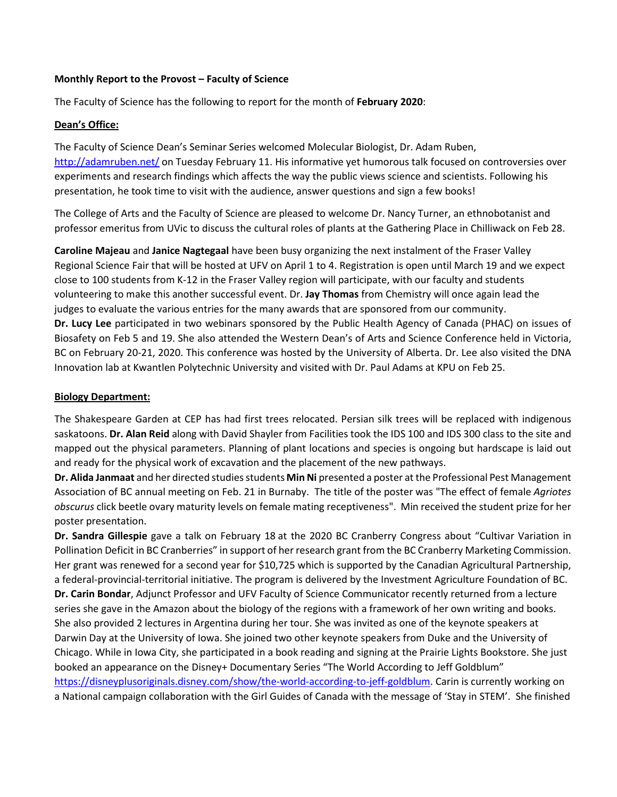#### **Monthly Report to the Provost – Faculty of Science**

The Faculty of Science has the following to report for the month of **February 2020**:

### **Dean's Office:**

The Faculty of Science Dean's Seminar Series welcomed Molecular Biologist, Dr. Adam Ruben, <http://adamruben.net/> on Tuesday February 11. His informative yet humorous talk focused on controversies over experiments and research findings which affects the way the public views science and scientists. Following his presentation, he took time to visit with the audience, answer questions and sign a few books!

The College of Arts and the Faculty of Science are pleased to welcome Dr. Nancy Turner, an ethnobotanist and professor emeritus from UVic to discuss the cultural roles of plants at the Gathering Place in Chilliwack on Feb 28.

**Caroline Majeau** and **Janice Nagtegaal** have been busy organizing the next instalment of the Fraser Valley Regional Science Fair that will be hosted at UFV on April 1 to 4. Registration is open until March 19 and we expect close to 100 students from K-12 in the Fraser Valley region will participate, with our faculty and students volunteering to make this another successful event. Dr. **Jay Thomas** from Chemistry will once again lead the judges to evaluate the various entries for the many awards that are sponsored from our community. **Dr. Lucy Lee** participated in two webinars sponsored by the Public Health Agency of Canada (PHAC) on issues of Biosafety on Feb 5 and 19. She also attended the Western Dean's of Arts and Science Conference held in Victoria, BC on February 20-21, 2020. This conference was hosted by the University of Alberta. Dr. Lee also visited the DNA Innovation lab at Kwantlen Polytechnic University and visited with Dr. Paul Adams at KPU on Feb 25.

### **Biology Department:**

The Shakespeare Garden at CEP has had first trees relocated. Persian silk trees will be replaced with indigenous saskatoons. **Dr. Alan Reid** along with David Shayler from Facilities took the IDS 100 and IDS 300 class to the site and mapped out the physical parameters. Planning of plant locations and species is ongoing but hardscape is laid out and ready for the physical work of excavation and the placement of the new pathways.

**Dr. Alida Janmaat** and her directed studies students **Min Ni** presented a poster at the Professional Pest Management Association of BC annual meeting on Feb. 21 in Burnaby. The title of the poster was "The effect of female *Agriotes obscurus* click beetle ovary maturity levels on female mating receptiveness". Min received the student prize for her poster presentation.

**Dr. Sandra Gillespie** gave a talk on February 18 at the 2020 BC Cranberry Congress about "Cultivar Variation in Pollination Deficit in BC Cranberries" in support of her research grant from the BC Cranberry Marketing Commission. Her grant was renewed for a second year for \$10,725 which is supported by the Canadian Agricultural Partnership, a federal-provincial-territorial initiative. The program is delivered by the Investment Agriculture Foundation of BC. **Dr. Carin Bondar**, Adjunct Professor and UFV Faculty of Science Communicator recently returned from a lecture series she gave in the Amazon about the biology of the regions with a framework of her own writing and books. She also provided 2 lectures in Argentina during her tour. She was invited as one of the keynote speakers at Darwin Day at the University of Iowa. She joined two other keynote speakers from Duke and the University of Chicago. While in Iowa City, she participated in a book reading and signing at the Prairie Lights Bookstore. She just booked an appearance on the Disney+ Documentary Series "The World According to Jeff Goldblum" [https://disneyplusoriginals.disney.com/show/the-world-according-to-jeff-goldblum.](https://disneyplusoriginals.disney.com/show/the-world-according-to-jeff-goldblum) Carin is currently working on a National campaign collaboration with the Girl Guides of Canada with the message of 'Stay in STEM'. She finished